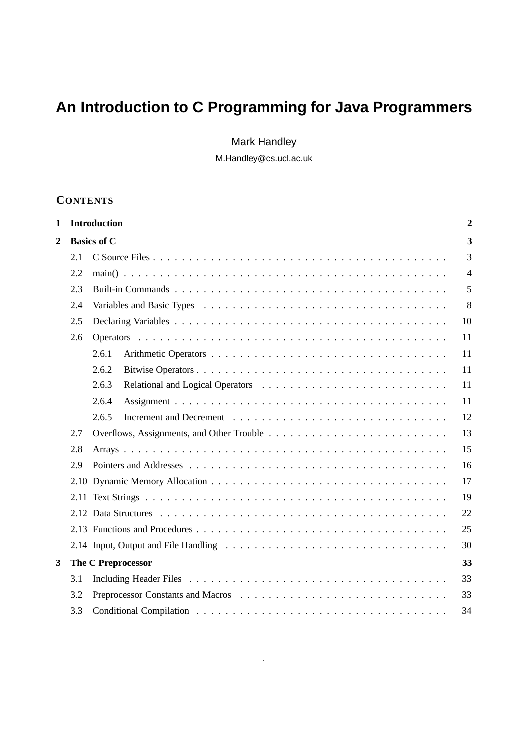# **An Introduction to C Programming for Java Programmers**

Mark Handley

M.Handley@cs.ucl.ac.uk

# **CONTENTS**

| 1              |     | <b>Introduction</b><br>$\overline{2}$ |                |  |  |  |
|----------------|-----|---------------------------------------|----------------|--|--|--|
| $\overline{2}$ |     | <b>Basics of C</b>                    |                |  |  |  |
|                | 2.1 |                                       | $\overline{3}$ |  |  |  |
|                | 2.2 |                                       | $\overline{4}$ |  |  |  |
|                | 2.3 |                                       | 5              |  |  |  |
|                | 2.4 |                                       |                |  |  |  |
|                | 2.5 |                                       |                |  |  |  |
|                | 2.6 |                                       | 11             |  |  |  |
|                |     | 2.6.1                                 | 11             |  |  |  |
|                |     | 2.6.2                                 | 11             |  |  |  |
|                |     | 2.6.3                                 | 11             |  |  |  |
|                |     | 2.6.4                                 | 11             |  |  |  |
|                |     | 2.6.5                                 | 12             |  |  |  |
|                | 2.7 |                                       | 13             |  |  |  |
|                | 2.8 |                                       | 15             |  |  |  |
|                | 2.9 |                                       | 16             |  |  |  |
|                |     |                                       | 17             |  |  |  |
|                |     |                                       | 19             |  |  |  |
|                |     |                                       | 22             |  |  |  |
|                |     |                                       | 25             |  |  |  |
|                |     |                                       | 30             |  |  |  |
| 3              |     | 33<br><b>The C Preprocessor</b>       |                |  |  |  |
|                | 3.1 |                                       | 33             |  |  |  |
|                | 3.2 |                                       | 33             |  |  |  |
|                | 3.3 |                                       | 34             |  |  |  |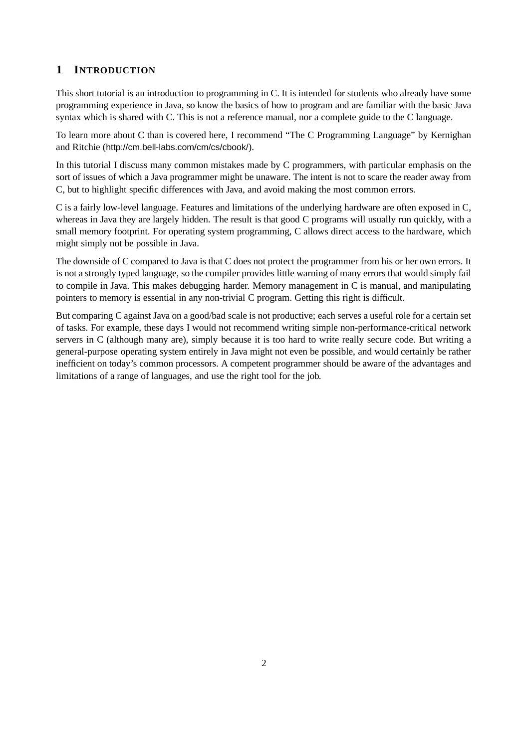# **1 INTRODUCTION**

This short tutorial is an introduction to programming in C. It is intended for students who already have some programming experience in Java, so know the basics of how to program and are familiar with the basic Java syntax which is shared with C. This is not a reference manual, nor a complete guide to the C language.

To learn more about C than is covered here, I recommend "The C Programming Language" by Kernighan and Ritchie (http://cm.bell-labs.com/cm/cs/cbook/).

In this tutorial I discuss many common mistakes made by C programmers, with particular emphasis on the sort of issues of which a Java programmer might be unaware. The intent is not to scare the reader away from C, but to highlight specific differences with Java, and avoid making the most common errors.

C is a fairly low-level language. Features and limitations of the underlying hardware are often exposed in C, whereas in Java they are largely hidden. The result is that good C programs will usually run quickly, with a small memory footprint. For operating system programming, C allows direct access to the hardware, which might simply not be possible in Java.

The downside of C compared to Java is that C does not protect the programmer from his or her own errors. It is not a strongly typed language, so the compiler provides little warning of many errors that would simply fail to compile in Java. This makes debugging harder. Memory management in C is manual, and manipulating pointers to memory is essential in any non-trivial C program. Getting this right is difficult.

But comparing C against Java on a good/bad scale is not productive; each serves a useful role for a certain set of tasks. For example, these days I would not recommend writing simple non-performance-critical network servers in C (although many are), simply because it is too hard to write really secure code. But writing a general-purpose operating system entirely in Java might not even be possible, and would certainly be rather inefficient on today's common processors. A competent programmer should be aware of the advantages and limitations of a range of languages, and use the right tool for the job.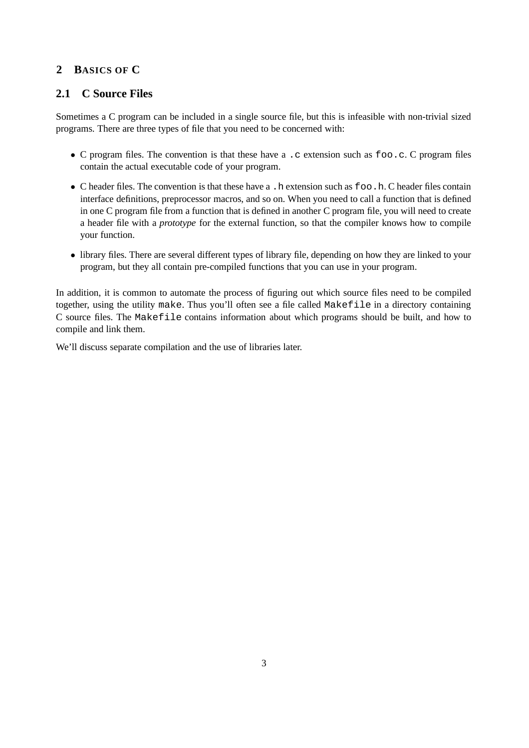# **2 BASICS OF C**

# **2.1 C Source Files**

Sometimes a C program can be included in a single source file, but this is infeasible with non-trivial sized programs. There are three types of file that you need to be concerned with:

- C program files. The convention is that these have a .c extension such as foo.c. C program files contain the actual executable code of your program.
- C header files. The convention is that these have a . h extension such as foo. h. C header files contain interface definitions, preprocessor macros, and so on. When you need to call a function that is defined in one C program file from a function that is defined in another C program file, you will need to create a header file with a *prototype* for the external function, so that the compiler knows how to compile your function.
- library files. There are several different types of library file, depending on how they are linked to your program, but they all contain pre-compiled functions that you can use in your program.

In addition, it is common to automate the process of figuring out which source files need to be compiled together, using the utility make. Thus you'll often see a file called Makefile in a directory containing C source files. The Makefile contains information about which programs should be built, and how to compile and link them.

We'll discuss separate compilation and the use of libraries later.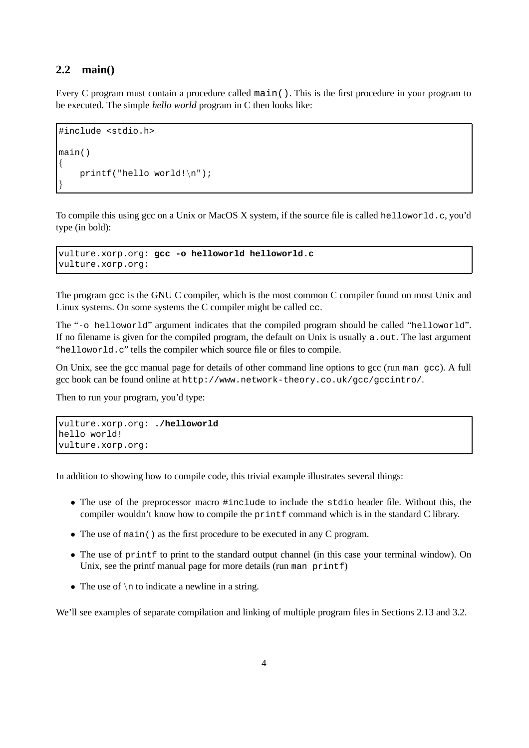#### **2.2 main()**

Every C program must contain a procedure called main(). This is the first procedure in your program to be executed. The simple *hello world* program in C then looks like:

```
#include <stdio.h>
main()
{
    printf("hello world!\n");
}
```
To compile this using gcc on a Unix or MacOS X system, if the source file is called helloworld.c, you'd type (in bold):

vulture.xorp.org: **gcc -o helloworld helloworld.c** vulture.xorp.org:

The program gcc is the GNU C compiler, which is the most common C compiler found on most Unix and Linux systems. On some systems the C compiler might be called cc.

The "-o helloworld" argument indicates that the compiled program should be called "helloworld". If no filename is given for the compiled program, the default on Unix is usually a. out. The last argument "helloworld.c" tells the compiler which source file or files to compile.

On Unix, see the gcc manual page for details of other command line options to gcc (run man gcc). A full gcc book can be found online at http://www.network-theory.co.uk/gcc/gccintro/.

Then to run your program, you'd type:

```
vulture.xorp.org: ./helloworld
hello world!
vulture.xorp.org:
```
In addition to showing how to compile code, this trivial example illustrates several things:

- The use of the preprocessor macro #include to include the stdio header file. Without this, the compiler wouldn't know how to compile the printf command which is in the standard C library.
- The use of main() as the first procedure to be executed in any C program.
- The use of print to print to the standard output channel (in this case your terminal window). On Unix, see the printf manual page for more details (run man printf)
- The use of  $\n\times$  to indicate a newline in a string.

We'll see examples of separate compilation and linking of multiple program files in Sections 2.13 and 3.2.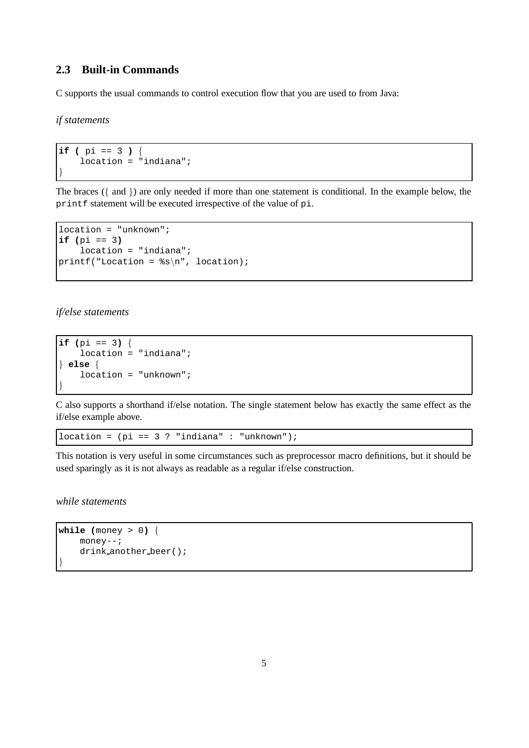# **2.3 Built-in Commands**

C supports the usual commands to control execution flow that you are used to from Java:

*if statements*

```
if ( pi == 3 ) {
    location = "indiana";
}
```
The braces ({ and }) are only needed if more than one statement is conditional. In the example below, the printf statement will be executed irrespective of the value of pi.

```
location = "unknown";
if (pi == 3)
    location = "indiana";
printf("Location = s\n\rightharpoonupn", location);
```
*if/else statements*

```
if (pi == 3) {
    location = "indiana";
} else {
    location = "unknown";
}
```
C also supports a shorthand if/else notation. The single statement below has exactly the same effect as the if/else example above.

location =  $pi = 3$  ? "indiana" : "unknown");

This notation is very useful in some circumstances such as preprocessor macro definitions, but it should be used sparingly as it is not always as readable as a regular if/else construction.

*while statements*

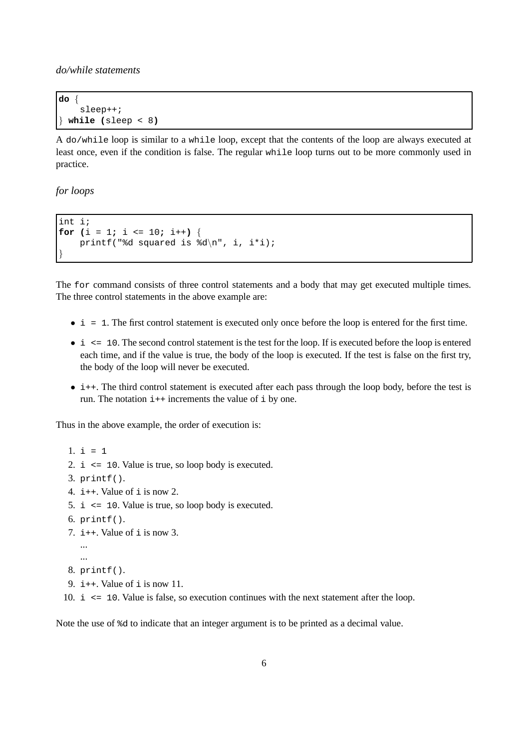*do/while statements*

```
do {
    sleep++;
} while (sleep < 8)
```
A do/while loop is similar to a while loop, except that the contents of the loop are always executed at least once, even if the condition is false. The regular while loop turns out to be more commonly used in practice.

*for loops*

```
int i;
for (i = 1; i \le 10; i++)printf("%d squared is d\n\cdot, i, i*i);
}
```
The for command consists of three control statements and a body that may get executed multiple times. The three control statements in the above example are:

- $\bullet$  i = 1. The first control statement is executed only once before the loop is entered for the first time.
- $\bullet$  i  $\leq$  10. The second control statement is the test for the loop. If is executed before the loop is entered each time, and if the value is true, the body of the loop is executed. If the test is false on the first try, the body of the loop will never be executed.
- i++. The third control statement is executed after each pass through the loop body, before the test is run. The notation  $i++$  increments the value of  $i$  by one.

Thus in the above example, the order of execution is:

- 1.  $i = 1$
- 2. i <= 10. Value is true, so loop body is executed.
- 3. printf().
- 4.  $i++$ . Value of  $i$  is now 2.
- 5. i <= 10. Value is true, so loop body is executed.
- 6. printf().
- 7.  $i++$ . Value of i is now 3.
	- ... ...
- 8. printf().
- 9.  $i++$ . Value of i is now 11.
- 10. i <= 10. Value is false, so execution continues with the next statement after the loop.

Note the use of %d to indicate that an integer argument is to be printed as a decimal value.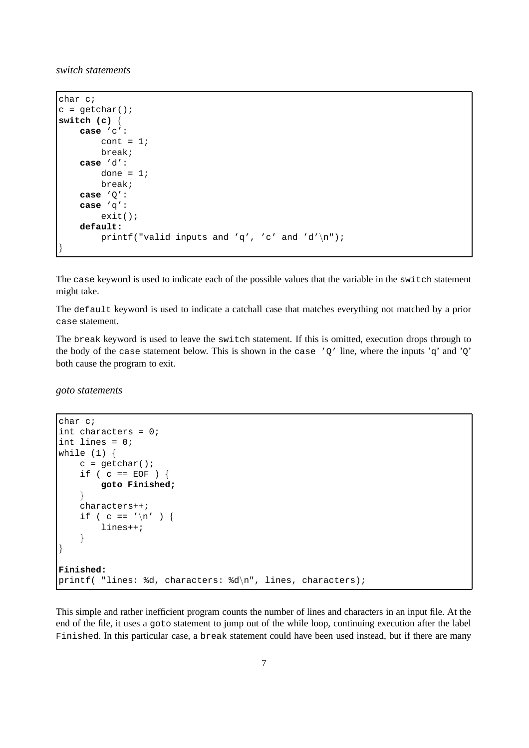*switch statements*

```
char c;
c = getchar()switch (c) {
   case 'c':
       cont = 1;
        break;
   case 'd':
        done = 1;
        break;
   case 'Q':
   case 'q':
        exit();
   default:
        printf("valid inputs and 'q', 'c' and 'd'\n");
}
```
The case keyword is used to indicate each of the possible values that the variable in the switch statement might take.

The default keyword is used to indicate a catchall case that matches everything not matched by a prior case statement.

The break keyword is used to leave the switch statement. If this is omitted, execution drops through to the body of the case statement below. This is shown in the case ' $Q'$  line, where the inputs 'q' and ' $Q'$ ' both cause the program to exit.

*goto statements*

```
char c;
int characters = 0;
int lines = 0;
while (1) {
    c = \text{qetchar}(i)if ( c == EOF ) {
        goto Finished;
    }
    characters++;
    if ( c == '\n\ln' ) {
        lines++;
    }
}
Finished:
printf( "lines: %d, characters: %d\n", lines, characters);
```
This simple and rather inefficient program counts the number of lines and characters in an input file. At the end of the file, it uses a goto statement to jump out of the while loop, continuing execution after the label Finished. In this particular case, a break statement could have been used instead, but if there are many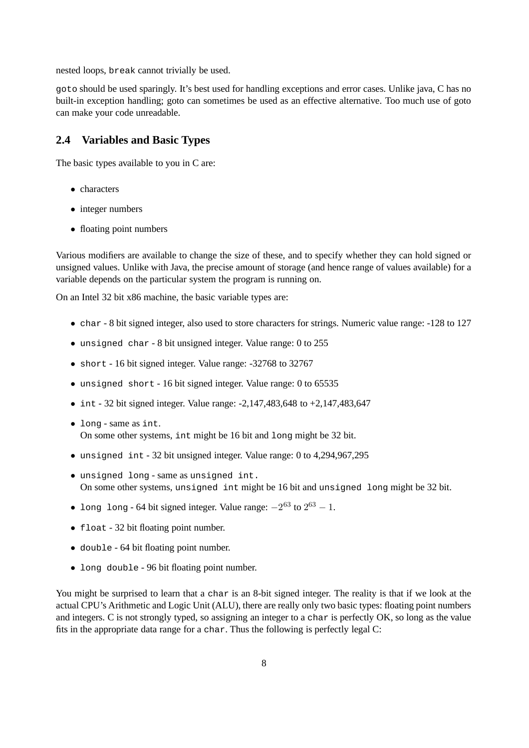nested loops, break cannot trivially be used.

goto should be used sparingly. It's best used for handling exceptions and error cases. Unlike java, C has no built-in exception handling; goto can sometimes be used as an effective alternative. Too much use of goto can make your code unreadable.

### **2.4 Variables and Basic Types**

The basic types available to you in C are:

- characters
- integer numbers
- floating point numbers

Various modifiers are available to change the size of these, and to specify whether they can hold signed or unsigned values. Unlike with Java, the precise amount of storage (and hence range of values available) for a variable depends on the particular system the program is running on.

On an Intel 32 bit x86 machine, the basic variable types are:

- char 8 bit signed integer, also used to store characters for strings. Numeric value range: -128 to 127
- unsigned char 8 bit unsigned integer. Value range: 0 to 255
- short 16 bit signed integer. Value range: -32768 to 32767
- unsigned short 16 bit signed integer. Value range: 0 to 65535
- int 32 bit signed integer. Value range:  $-2,147,483,648$  to  $+2,147,483,647$
- long same as int. On some other systems, int might be 16 bit and long might be 32 bit.
- unsigned int 32 bit unsigned integer. Value range: 0 to 4,294,967,295
- unsigned long same as unsigned int. On some other systems, unsigned int might be 16 bit and unsigned long might be 32 bit.
- long long 64 bit signed integer. Value range:  $-2^{63}$  to  $2^{63} 1$ .
- float 32 bit floating point number.
- double 64 bit floating point number.
- long double 96 bit floating point number.

You might be surprised to learn that a char is an 8-bit signed integer. The reality is that if we look at the actual CPU's Arithmetic and Logic Unit (ALU), there are really only two basic types: floating point numbers and integers. C is not strongly typed, so assigning an integer to a char is perfectly OK, so long as the value fits in the appropriate data range for a char. Thus the following is perfectly legal C: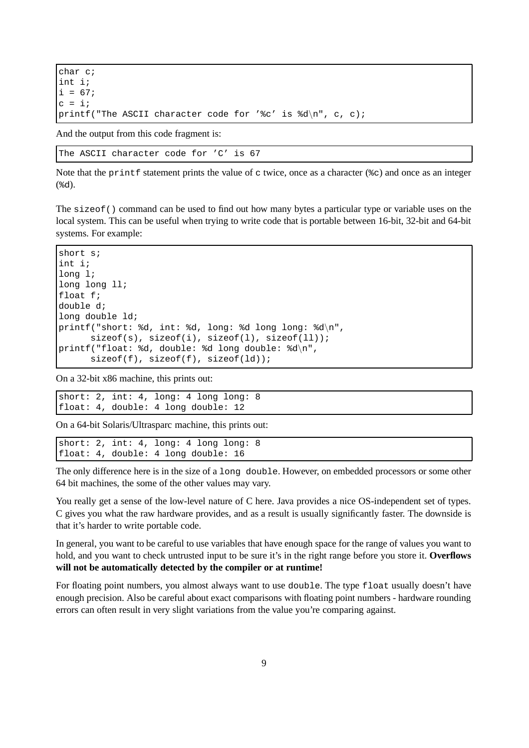```
char c;
int i;
i = 67;c = i;printf("The ASCII character code for '%c' is d\pi, c, c);
```
And the output from this code fragment is:

The ASCII character code for 'C' is 67

Note that the printf statement prints the value of  $\sigma$  twice, once as a character ( $\epsilon \sigma$ ) and once as an integer (%d).

The sizeof() command can be used to find out how many bytes a particular type or variable uses on the local system. This can be useful when trying to write code that is portable between 16-bit, 32-bit and 64-bit systems. For example:

```
short s;
int i;
long l;
long long ll;
float f;
double d;
long double ld;
printf("short: %d, int: %d, long: %d long long: %d\n",
      sizeof(s), sizeof(i), sizeof(1), sizeof(11);
printf("float: %d, double: %d long double: %d\n",
      sizeof(f), sizeof(f), sizeof(ld));
```
On a 32-bit x86 machine, this prints out:

short: 2, int: 4, long: 4 long long: 8 float: 4, double: 4 long double: 12

On a 64-bit Solaris/Ultrasparc machine, this prints out:

```
short: 2, int: 4, long: 4 long long: 8
float: 4, double: 4 long double: 16
```
The only difference here is in the size of a long double. However, on embedded processors or some other 64 bit machines, the some of the other values may vary.

You really get a sense of the low-level nature of C here. Java provides a nice OS-independent set of types. C gives you what the raw hardware provides, and as a result is usually significantly faster. The downside is that it's harder to write portable code.

In general, you want to be careful to use variables that have enough space for the range of values you want to hold, and you want to check untrusted input to be sure it's in the right range before you store it. **Overflows will not be automatically detected by the compiler or at runtime!**

For floating point numbers, you almost always want to use double. The type float usually doesn't have enough precision. Also be careful about exact comparisons with floating point numbers - hardware rounding errors can often result in very slight variations from the value you're comparing against.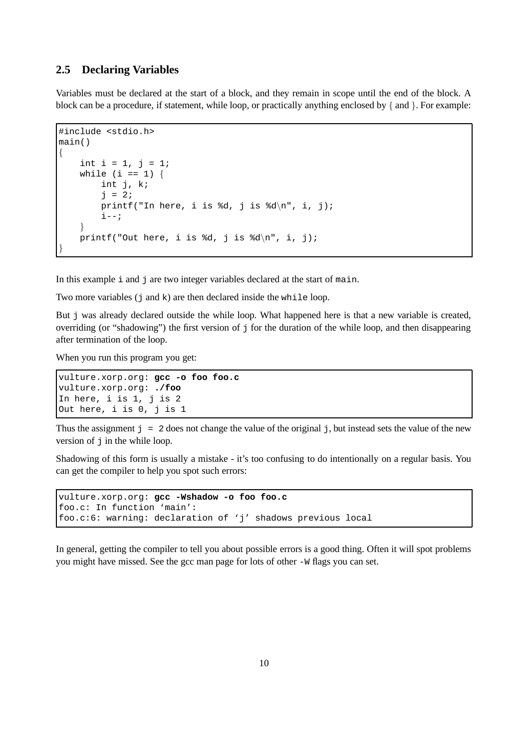#### **2.5 Declaring Variables**

Variables must be declared at the start of a block, and they remain in scope until the end of the block. A block can be a procedure, if statement, while loop, or practically anything enclosed by { and }. For example:

```
#include <stdio.h>
main()
{
    int i = 1, j = 1;while (i == 1) {
        int j, k;
        j = 2iprintf("In here, i is d, j is d \n\cdot j;
        i--;}
   printf("Out here, i is d, j is d \n\cdot j;
}
```
In this example  $\pm$  and  $\pm$  are two integer variables declared at the start of main.

Two more variables  $(j \text{ and } k)$  are then declared inside the while loop.

But  $\dot{\tau}$  was already declared outside the while loop. What happened here is that a new variable is created, overriding (or "shadowing") the first version of  $\frac{1}{2}$  for the duration of the while loop, and then disappearing after termination of the loop.

When you run this program you get:

```
vulture.xorp.org: gcc -o foo foo.c
vulture.xorp.org: ./foo
In here, i is 1, j is 2
Out here, i is 0, j is 1
```
Thus the assignment  $j = 2$  does not change the value of the original j, but instead sets the value of the new version of  $\exists$  in the while loop.

Shadowing of this form is usually a mistake - it's too confusing to do intentionally on a regular basis. You can get the compiler to help you spot such errors:

```
vulture.xorp.org: gcc -Wshadow -o foo foo.c
foo.c: In function 'main':
foo.c:6: warning: declaration of 'j' shadows previous local
```
In general, getting the compiler to tell you about possible errors is a good thing. Often it will spot problems you might have missed. See the gcc man page for lots of other -W flags you can set.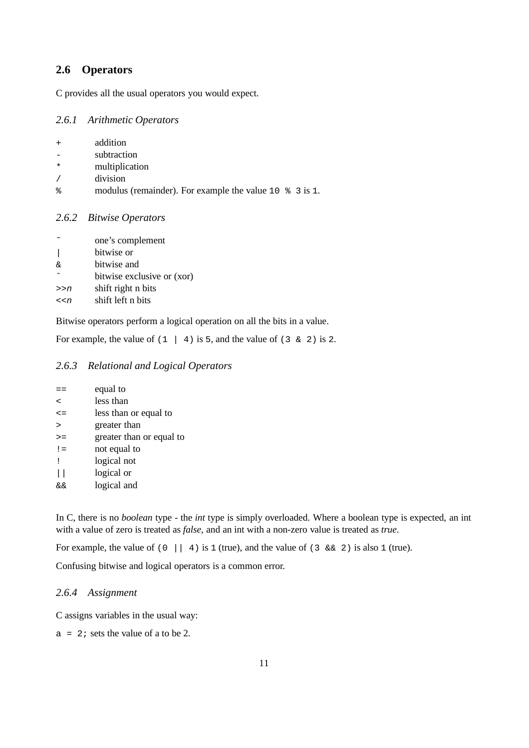# **2.6 Operators**

C provides all the usual operators you would expect.

#### *2.6.1 Arithmetic Operators*

| addition<br>$\div$ |
|--------------------|
|                    |
|                    |

- subtraction
- \* multiplication
- / division
- % modulus (remainder). For example the value 10 % 3 is 1.

#### *2.6.2 Bitwise Operators*

|           | one's complement           |
|-----------|----------------------------|
|           | bitwise or                 |
| δ£        | bitwise and                |
| $\lambda$ | bitwise exclusive or (xor) |
| >>n       | shift right n bits         |
| << n      | shift left n bits          |

Bitwise operators perform a logical operation on all the bits in a value.

For example, the value of  $(1 \mid 4)$  is 5, and the value of  $(3 \& 2)$  is 2.

## *2.6.3 Relational and Logical Operators*

|              | equal to                 |
|--------------|--------------------------|
| $\prec$      | less than                |
| $\leq$ =     | less than or equal to    |
| $\mathbf{r}$ | greater than             |
| $\geq$ $=$   | greater than or equal to |
| $!=$         | not equal to             |
| Ţ            | logical not              |
|              | logical or               |
| &&           | logical and              |
|              |                          |

In C, there is no *boolean* type - the *int* type is simply overloaded. Where a boolean type is expected, an int with a value of zero is treated as *false*, and an int with a non-zero value is treated as *true*.

For example, the value of (0 || 4) is 1 (true), and the value of (3 & 2) is also 1 (true).

Confusing bitwise and logical operators is a common error.

#### *2.6.4 Assignment*

C assigns variables in the usual way:

 $a = 2i$  sets the value of a to be 2.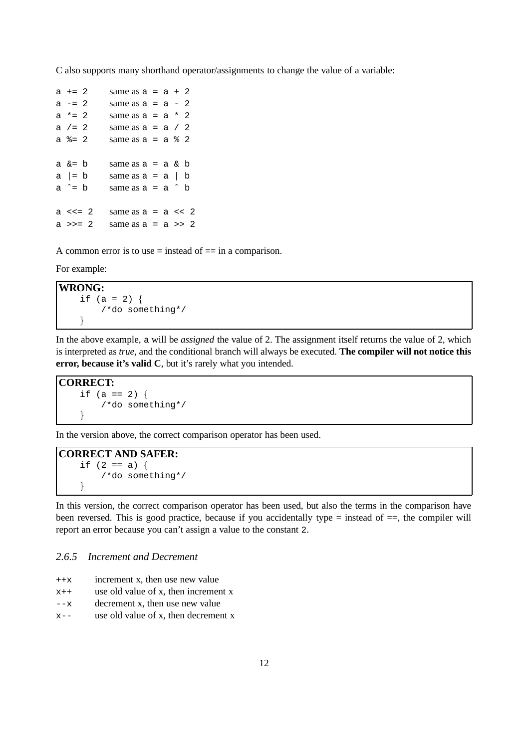C also supports many shorthand operator/assignments to change the value of a variable:

```
a +2 same as a = a + 2a = 2 same as a = a - 2a * = 2 same as a = a * 2a / = 2 same as a = a / 2a \text{ } z = 2 \text{ } \text{ same as } a = a \text{ } z \text{ } 2a \&= b same as a = a \& ba \mid b same as a = a \mid ba^{\sim} = b same as a = a^{\sim} ba <<= 2 same as a = a << 2a \gg= 2 same as a = a \gg 2
```
A common error is to use = instead of == in a comparison.

For example:

```
WRONG:
   if (a = 2) {
       /*do something*/
   }
```
In the above example, a will be *assigned* the value of 2. The assignment itself returns the value of 2, which is interpreted as *true*, and the conditional branch will always be executed. **The compiler will not notice this error, because it's valid C**, but it's rarely what you intended.

**CORRECT:**

```
if (a == 2) {
    /*do something*/
}
```
In the version above, the correct comparison operator has been used.

#### **CORRECT AND SAFER:** if  $(2 == a)$  { /\*do something\*/ }

In this version, the correct comparison operator has been used, but also the terms in the comparison have been reversed. This is good practice, because if you accidentally type = instead of ==, the compiler will report an error because you can't assign a value to the constant 2.

#### *2.6.5 Increment and Decrement*

++x increment x, then use new value

 $x++$  use old value of x, then increment x

- --x decrement x, then use new value
- $x$ -- use old value of x, then decrement x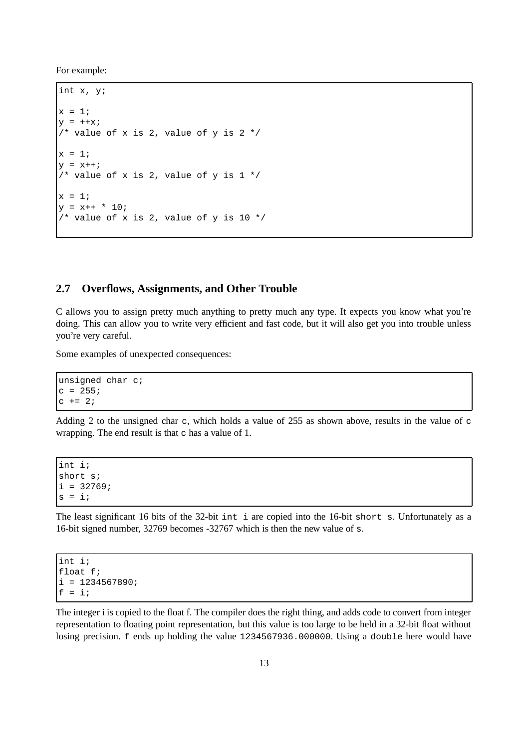For example:

```
int x, y;
x = 1;y = ++x;/* value of x is 2, value of y is 2*/x = 1;y = x++;/* value of x is 2, value of y is 1 */
x = 1;y = x++ * 10;/* value of x is 2, value of y is 10 */
```
## **2.7 Overflows, Assignments, and Other Trouble**

C allows you to assign pretty much anything to pretty much any type. It expects you know what you're doing. This can allow you to write very efficient and fast code, but it will also get you into trouble unless you're very careful.

Some examples of unexpected consequences:

unsigned char c;  $c = 255;$  $c$  += 2;

Adding 2 to the unsigned char  $\sigma$ , which holds a value of 255 as shown above, results in the value of  $\sigma$ wrapping. The end result is that  $\sigma$  has a value of 1.

int i; short s;  $i = 32769i$  $s = i;$ 

The least significant 16 bits of the 32-bit int i are copied into the 16-bit short s. Unfortunately as a 16-bit signed number, 32769 becomes -32767 which is then the new value of s.

```
int i;
float f;
i = 1234567890if = i;
```
The integer i is copied to the float f. The compiler does the right thing, and adds code to convert from integer representation to floating point representation, but this value is too large to be held in a 32-bit float without losing precision. f ends up holding the value 1234567936.000000. Using a double here would have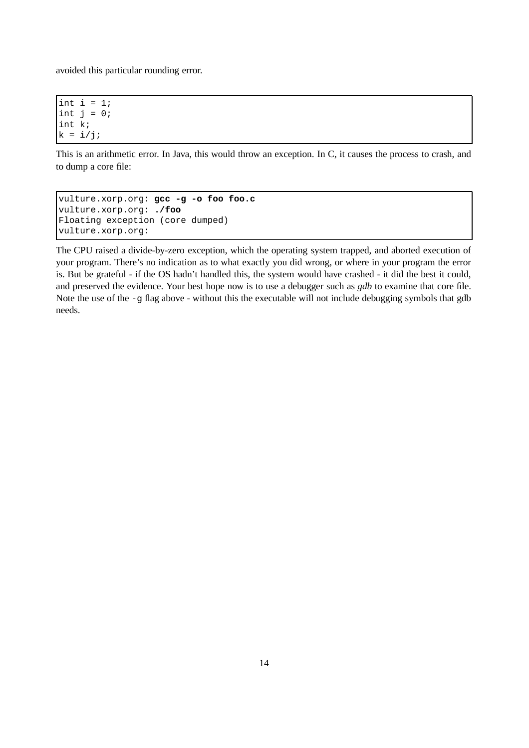avoided this particular rounding error.

int i =  $1$ ; int  $j = 0$ ; int k;  $k = i/j;$ 

This is an arithmetic error. In Java, this would throw an exception. In C, it causes the process to crash, and to dump a core file:

```
vulture.xorp.org: gcc -g -o foo foo.c
vulture.xorp.org: ./foo
Floating exception (core dumped)
vulture.xorp.org:
```
The CPU raised a divide-by-zero exception, which the operating system trapped, and aborted execution of your program. There's no indication as to what exactly you did wrong, or where in your program the error is. But be grateful - if the OS hadn't handled this, the system would have crashed - it did the best it could, and preserved the evidence. Your best hope now is to use a debugger such as *gdb* to examine that core file. Note the use of the  $-g$  flag above - without this the executable will not include debugging symbols that gdb needs.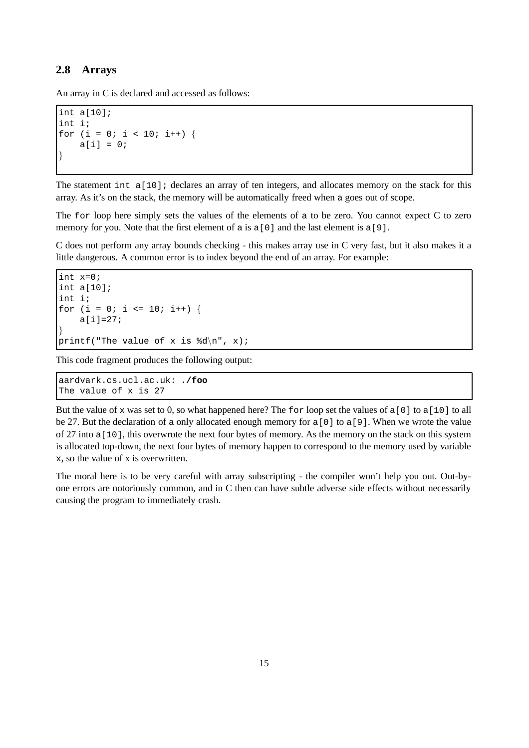## **2.8 Arrays**

An array in C is declared and accessed as follows:

```
int a[10];
int i;
for (i = 0; i < 10; i++) {
    a[i] = 0;}
```
The statement int a[10]; declares an array of ten integers, and allocates memory on the stack for this array. As it's on the stack, the memory will be automatically freed when a goes out of scope.

The for loop here simply sets the values of the elements of a to be zero. You cannot expect C to zero memory for you. Note that the first element of a is a [0] and the last element is a [9].

C does not perform any array bounds checking - this makes array use in C very fast, but it also makes it a little dangerous. A common error is to index beyond the end of an array. For example:

```
int x=0;
int a[10];
int i;
for (i = 0; i \le 10; i++) {
    a[i]=27;
}
printf("The value of x is d\n\cdot x;
```
This code fragment produces the following output:

aardvark.cs.ucl.ac.uk: **./foo** The value of x is 27

But the value of x was set to 0, so what happened here? The for loop set the values of  $a[0]$  to  $a[10]$  to all be 27. But the declaration of a only allocated enough memory for a[0] to a[9]. When we wrote the value of 27 into a[10], this overwrote the next four bytes of memory. As the memory on the stack on this system is allocated top-down, the next four bytes of memory happen to correspond to the memory used by variable x, so the value of x is overwritten.

The moral here is to be very careful with array subscripting - the compiler won't help you out. Out-byone errors are notoriously common, and in C then can have subtle adverse side effects without necessarily causing the program to immediately crash.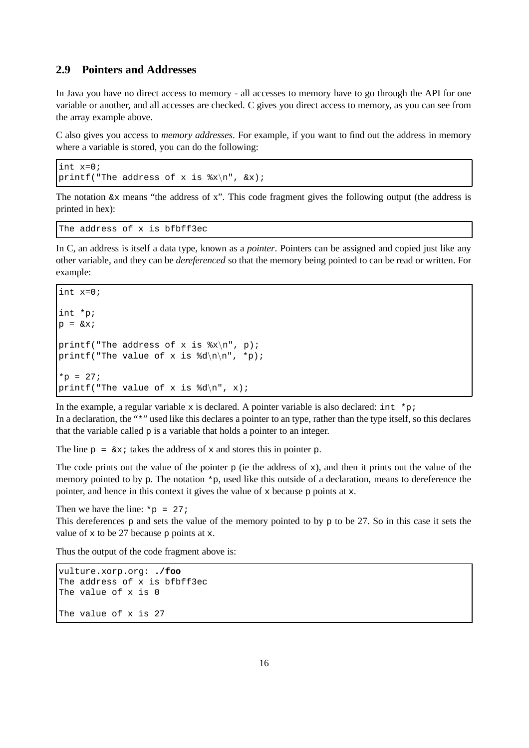#### **2.9 Pointers and Addresses**

In Java you have no direct access to memory - all accesses to memory have to go through the API for one variable or another, and all accesses are checked. C gives you direct access to memory, as you can see from the array example above.

C also gives you access to *memory addresses*. For example, if you want to find out the address in memory where a variable is stored, you can do the following:

```
int x=0;
printf("The address of x is x\n^n, \&x);
```
The notation  $\&\times$  means "the address of x". This code fragment gives the following output (the address is printed in hex):

The address of x is bfbff3ec

In C, an address is itself a data type, known as a *pointer*. Pointers can be assigned and copied just like any other variable, and they can be *dereferenced* so that the memory being pointed to can be read or written. For example:

```
int x=0;
int *p;
p = \&x;printf("The address of x is x \nvert^n, p);
printf("The value of x is d\ln^n, *p);
*_{p} = 27;printf("The value of x is d\n\cdot x;
```
In the example, a regular variable x is declared. A pointer variable is also declared: int \*p;

In a declaration, the "\*" used like this declares a pointer to an type, rather than the type itself, so this declares that the variable called  $p$  is a variable that holds a pointer to an integer.

The line  $p = \alpha x$ ; takes the address of x and stores this in pointer p.

The code prints out the value of the pointer  $p$  (ie the address of  $x$ ), and then it prints out the value of the memory pointed to by p. The notation \*p, used like this outside of a declaration, means to dereference the pointer, and hence in this context it gives the value of x because p points at x.

Then we have the line:  $*_{p}$  = 27;

This dereferences p and sets the value of the memory pointed to by p to be 27. So in this case it sets the value of  $x$  to be 27 because  $\circ$  points at  $x$ .

Thus the output of the code fragment above is:

```
vulture.xorp.org: ./foo
The address of x is bfbff3ec
The value of x is 0
The value of x is 27
```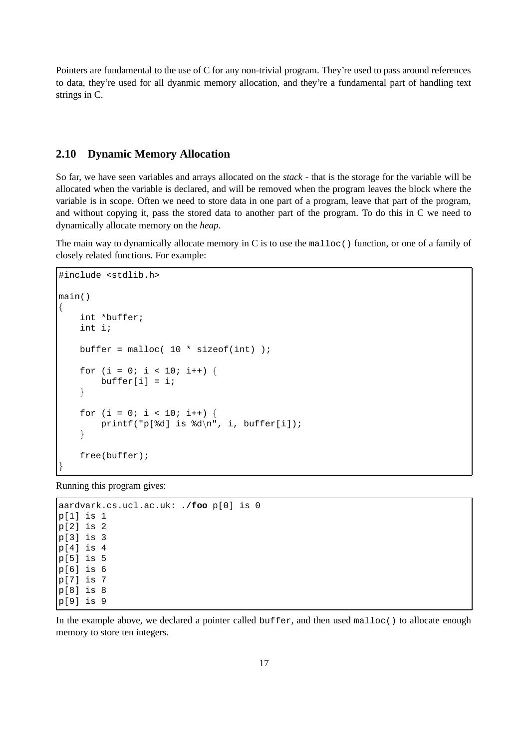Pointers are fundamental to the use of C for any non-trivial program. They're used to pass around references to data, they're used for all dyanmic memory allocation, and they're a fundamental part of handling text strings in C.

## **2.10 Dynamic Memory Allocation**

So far, we have seen variables and arrays allocated on the *stack* - that is the storage for the variable will be allocated when the variable is declared, and will be removed when the program leaves the block where the variable is in scope. Often we need to store data in one part of a program, leave that part of the program, and without copying it, pass the stored data to another part of the program. To do this in C we need to dynamically allocate memory on the *heap*.

The main way to dynamically allocate memory in C is to use the malloc() function, or one of a family of closely related functions. For example:

```
#include <stdlib.h>
main()
{
    int *buffer;
    int i;
    buffer = malloc( 10 * sizeof(int) );
    for (i = 0; i < 10; i++) {
        buffer[i] = i;}
    for (i = 0; i < 10; i++) {
        printf("p[%d] is d\n", i, buffer[i]);
    }
    free(buffer);
}
```
Running this program gives:

```
aardvark.cs.ucl.ac.uk: ./foo p[0] is 0
p[1] is 1
p[2] is 2
p[3] is 3
p[4] is 4
p[5] is 5
p[6] is 6
p[7] is 7
p[8] is 8
p[9] is 9
```
In the example above, we declared a pointer called buffer, and then used malloc() to allocate enough memory to store ten integers.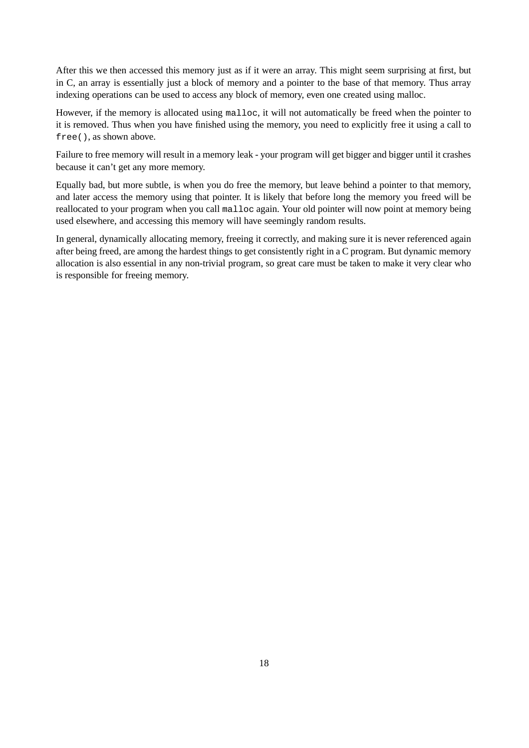After this we then accessed this memory just as if it were an array. This might seem surprising at first, but in C, an array is essentially just a block of memory and a pointer to the base of that memory. Thus array indexing operations can be used to access any block of memory, even one created using malloc.

However, if the memory is allocated using malloc, it will not automatically be freed when the pointer to it is removed. Thus when you have finished using the memory, you need to explicitly free it using a call to free(), as shown above.

Failure to free memory will result in a memory leak - your program will get bigger and bigger until it crashes because it can't get any more memory.

Equally bad, but more subtle, is when you do free the memory, but leave behind a pointer to that memory, and later access the memory using that pointer. It is likely that before long the memory you freed will be reallocated to your program when you call malloc again. Your old pointer will now point at memory being used elsewhere, and accessing this memory will have seemingly random results.

In general, dynamically allocating memory, freeing it correctly, and making sure it is never referenced again after being freed, are among the hardest things to get consistently right in a C program. But dynamic memory allocation is also essential in any non-trivial program, so great care must be taken to make it very clear who is responsible for freeing memory.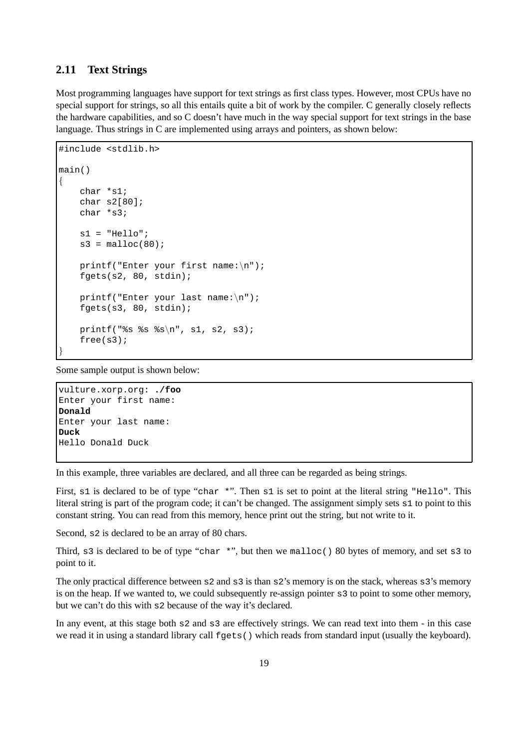## **2.11 Text Strings**

Most programming languages have support for text strings as first class types. However, most CPUs have no special support for strings, so all this entails quite a bit of work by the compiler. C generally closely reflects the hardware capabilities, and so C doesn't have much in the way special support for text strings in the base language. Thus strings in C are implemented using arrays and pointers, as shown below:

```
#include <stdlib.h>
main()
{
    char *s1;
    char s2[80];
    char *s3;
    s1 = "Hello"s3 = \text{malloc}(80);
    printf("Enter your first name:\n");
    fgets(s2, 80, stdin);
    printf("Enter your last name:\n");
    fgets(s3, 80, stdin);
    printf("%s %s %s\n", s1, s2, s3);
    free(s3);
}
```
Some sample output is shown below:

```
vulture.xorp.org: ./foo
Enter your first name:
Donald
Enter your last name:
Duck
Hello Donald Duck
```
In this example, three variables are declared, and all three can be regarded as being strings.

First,  $s1$  is declared to be of type "char \*". Then  $s1$  is set to point at the literal string "Hello". This literal string is part of the program code; it can't be changed. The assignment simply sets s1 to point to this constant string. You can read from this memory, hence print out the string, but not write to it.

Second, s<sub>2</sub> is declared to be an array of 80 chars.

Third, s3 is declared to be of type "char \*", but then we malloc() 80 bytes of memory, and set s3 to point to it.

The only practical difference between s2 and s3 is than s2's memory is on the stack, whereas s3's memory is on the heap. If we wanted to, we could subsequently re-assign pointer s3 to point to some other memory, but we can't do this with s2 because of the way it's declared.

In any event, at this stage both s2 and s3 are effectively strings. We can read text into them - in this case we read it in using a standard library call  $fgets()$  which reads from standard input (usually the keyboard).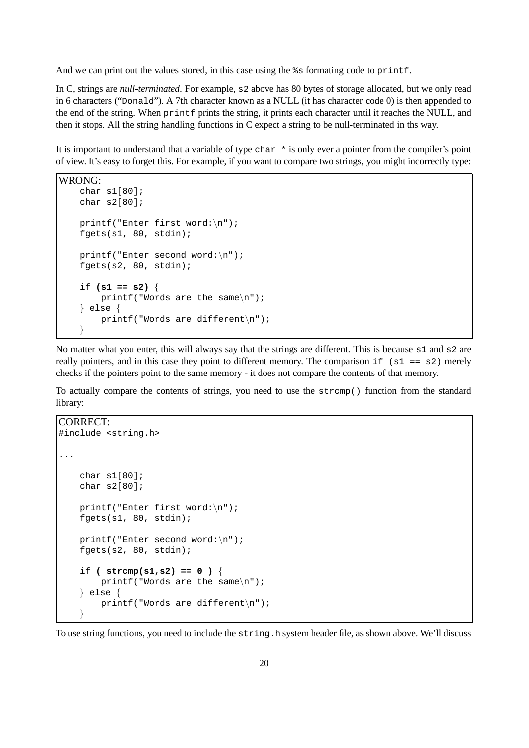And we can print out the values stored, in this case using the  $\frac{1}{2}$  s formating code to printf.

In C, strings are *null-terminated*. For example, s2 above has 80 bytes of storage allocated, but we only read in 6 characters ("Donald"). A 7th character known as a NULL (it has character code 0) is then appended to the end of the string. When printf prints the string, it prints each character until it reaches the NULL, and then it stops. All the string handling functions in C expect a string to be null-terminated in ths way.

It is important to understand that a variable of type char \* is only ever a pointer from the compiler's point of view. It's easy to forget this. For example, if you want to compare two strings, you might incorrectly type:

```
WRONG:
   char s1[80];
   char s2[80];
   printf("Enter first word:\n");
   fgets(s1, 80, stdin);
   printf("Enter second word:\n");
   fgets(s2, 80, stdin);
   if (s1 == s2) {
       printf("Words are the same\n");
    } else {
       printf("Words are different\n");
    }
```
No matter what you enter, this will always say that the strings are different. This is because s1 and s2 are really pointers, and in this case they point to different memory. The comparison if  $(s1 == s2)$  merely checks if the pointers point to the same memory - it does not compare the contents of that memory.

To actually compare the contents of strings, you need to use the strcmp() function from the standard library:

CORRECT:

```
#include <string.h>
...
   char s1[80];
   char s2[80];
   printf("Enter first word:\n");
   fgets(s1, 80, stdin);
   printf("Enter second word:\n");
   fgets(s2, 80, stdin);
    if ( strcmp(s1,s2) == 0 ) {
        printf("Words are the same\n");
    } else {
        printf("Words are different\n");
    }
```
To use string functions, you need to include the string.h system header file, as shown above. We'll discuss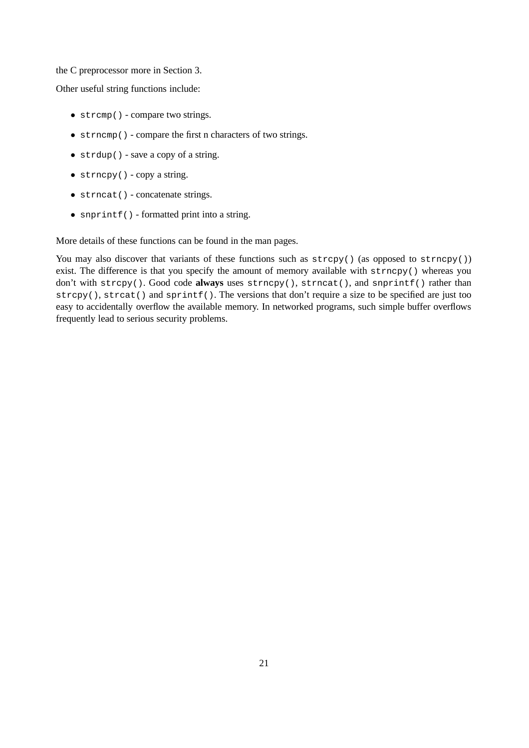#### the C preprocessor more in Section 3.

Other useful string functions include:

- strcmp() compare two strings.
- strncmp() compare the first n characters of two strings.
- strdup() save a copy of a string.
- strncpy() copy a string.
- strncat() concatenate strings.
- snprintf() formatted print into a string.

More details of these functions can be found in the man pages.

You may also discover that variants of these functions such as  $\text{stropy}( )$  (as opposed to  $\text{strney}( )$ ) exist. The difference is that you specify the amount of memory available with strncpy() whereas you don't with strcpy(). Good code always uses strncpy(), strncat(), and snprintf() rather than strcpy(), strcat() and sprintf(). The versions that don't require a size to be specified are just too easy to accidentally overflow the available memory. In networked programs, such simple buffer overflows frequently lead to serious security problems.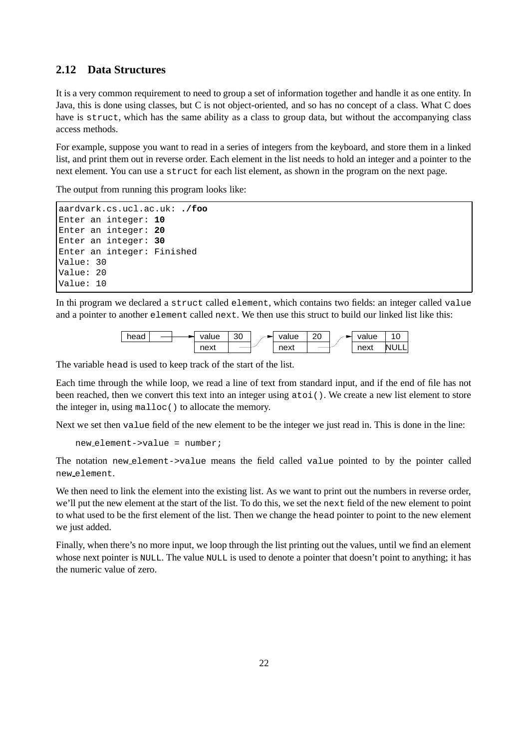# **2.12 Data Structures**

It is a very common requirement to need to group a set of information together and handle it as one entity. In Java, this is done using classes, but C is not object-oriented, and so has no concept of a class. What C does have is struct, which has the same ability as a class to group data, but without the accompanying class access methods.

For example, suppose you want to read in a series of integers from the keyboard, and store them in a linked list, and print them out in reverse order. Each element in the list needs to hold an integer and a pointer to the next element. You can use a struct for each list element, as shown in the program on the next page.

The output from running this program looks like:

```
aardvark.cs.ucl.ac.uk: ./foo
Enter an integer: 10
Enter an integer: 20
Enter an integer: 30
Enter an integer: Finished
Value: 30
Value: 20
Value: 10
```
In thi program we declared a struct called element, which contains two fields: an integer called value and a pointer to another element called next. We then use this struct to build our linked list like this:



The variable head is used to keep track of the start of the list.

Each time through the while loop, we read a line of text from standard input, and if the end of file has not been reached, then we convert this text into an integer using atoi(). We create a new list element to store the integer in, using malloc() to allocate the memory.

Next we set then value field of the new element to be the integer we just read in. This is done in the line:

```
new element->value = number;
```
The notation new element->value means the field called value pointed to by the pointer called new element.

We then need to link the element into the existing list. As we want to print out the numbers in reverse order, we'll put the new element at the start of the list. To do this, we set the next field of the new element to point to what used to be the first element of the list. Then we change the head pointer to point to the new element we just added.

Finally, when there's no more input, we loop through the list printing out the values, until we find an element whose next pointer is NULL. The value NULL is used to denote a pointer that doesn't point to anything; it has the numeric value of zero.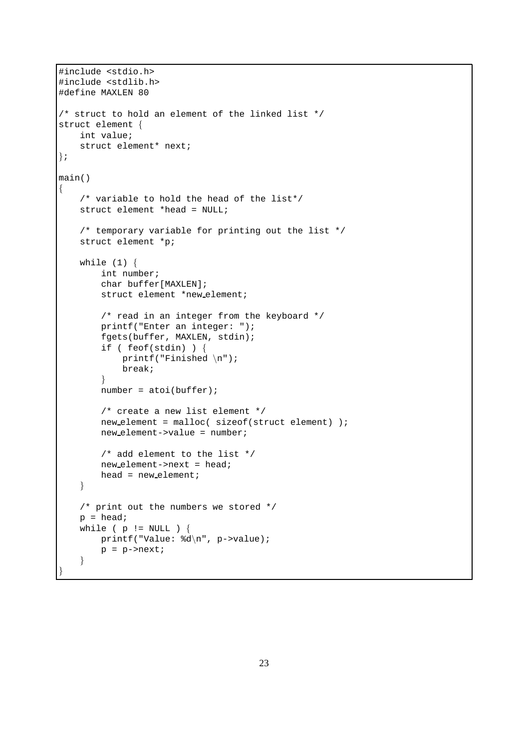```
#include <stdio.h>
#include <stdlib.h>
#define MAXLEN 80
/* struct to hold an element of the linked list */
struct element {
   int value;
   struct element* next;
};
main()
{
   /* variable to hold the head of the list*/
   struct element *head = NULL;
   /* temporary variable for printing out the list */
   struct element *p;
   while (1) {
        int number;
        char buffer[MAXLEN];
        struct element *new element;
        /* read in an integer from the keyboard */
       printf("Enter an integer: ");
       fgets(buffer, MAXLEN, stdin);
        if ( feof(stdin) ) {
            printf("Finished \n");
           break;
        }
        number = atoi(buffer);/* create a new list element */
       new element = malloc( sizeof(struct element) );
       new element->value = number;
        /* add element to the list */
       new element->next = head;
       head = new-element;
   }
   /* print out the numbers we stored */
   p = head;while ( p := NULL ) {
       printf("Value: %d\n", p->value);
       p = p->next;
   }
```
}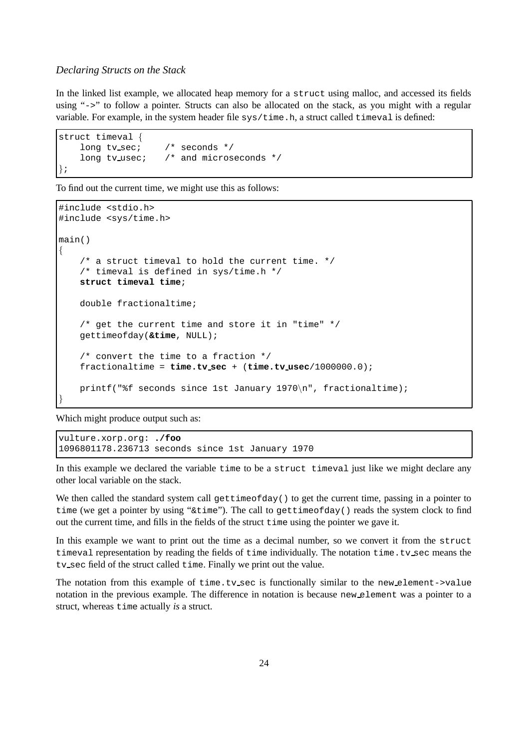#### *Declaring Structs on the Stack*

In the linked list example, we allocated heap memory for a struct using malloc, and accessed its fields using "->" to follow a pointer. Structs can also be allocated on the stack, as you might with a regular variable. For example, in the system header file  $sys/time$ .h, a struct called  $timeval$  is defined:

```
struct timeval {
   long tv_sec; /* seconds */
   long tv_usec; /* and microseconds */
};
```
To find out the current time, we might use this as follows:

```
#include <stdio.h>
#include <sys/time.h>
main()
{
    /* a struct timeval to hold the current time. */
    /* timeval is defined in sys/time.h */
    struct timeval time;
    double fractionaltime;
    /* get the current time and store it in "time" */
    gettimeofday(&time, NULL);
    /* convert the time to a fraction */
    fractionaltime = time.tv sec + (time.tv usec/1000000.0);
    printf("%f seconds since 1st January 1970\n", fractionaltime);
}
```
Which might produce output such as:

vulture.xorp.org: **./foo** 1096801178.236713 seconds since 1st January 1970

In this example we declared the variable time to be a struct timeval just like we might declare any other local variable on the stack.

We then called the standard system call gettimeofday() to get the current time, passing in a pointer to time (we get a pointer by using " $\&$ time"). The call to gettimeofday() reads the system clock to find out the current time, and fills in the fields of the struct time using the pointer we gave it.

In this example we want to print out the time as a decimal number, so we convert it from the struct timeval representation by reading the fields of time individually. The notation time.tv sec means the tv sec field of the struct called time. Finally we print out the value.

The notation from this example of time.tv sec is functionally similar to the new element- $\rightarrow$ value notation in the previous example. The difference in notation is because new element was a pointer to a struct, whereas time actually *is* a struct.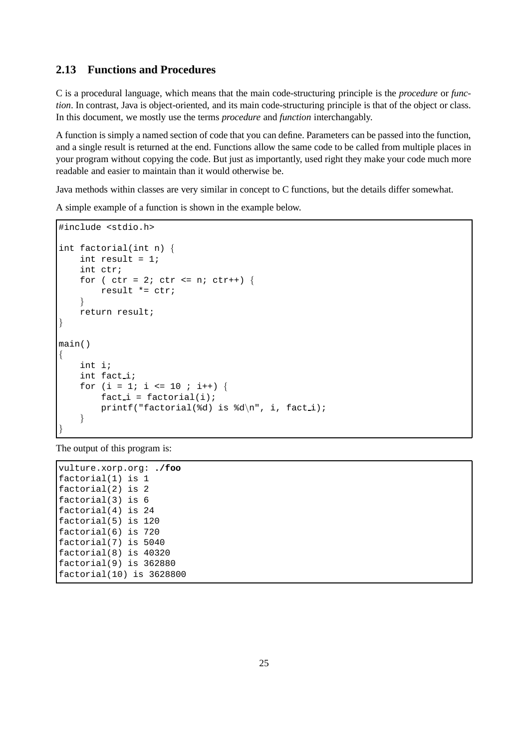## **2.13 Functions and Procedures**

C is a procedural language, which means that the main code-structuring principle is the *procedure* or *function*. In contrast, Java is object-oriented, and its main code-structuring principle is that of the object or class. In this document, we mostly use the terms *procedure* and *function* interchangably.

A function is simply a named section of code that you can define. Parameters can be passed into the function, and a single result is returned at the end. Functions allow the same code to be called from multiple places in your program without copying the code. But just as importantly, used right they make your code much more readable and easier to maintain than it would otherwise be.

Java methods within classes are very similar in concept to C functions, but the details differ somewhat.

A simple example of a function is shown in the example below.

```
#include <stdio.h>
int factorial(int n) {
    int result = 1;
    int ctr;
    for ( ctr = 2; ctr \leq ni ctr++) {
        result *= ctr;
    }
    return result;
}
main()
{
    int i;
    int fact i;
    for (i = 1; i \le 10; i++) {
        fact_i = factorial(i);printf("factorial(%d) is d\n^n, i, facti);
    }
}
```
The output of this program is:

vulture.xorp.org: **./foo** factorial(1) is 1 factorial(2) is 2 factorial(3) is 6 factorial(4) is 24 factorial(5) is 120 factorial(6) is 720 factorial(7) is 5040 factorial(8) is 40320 factorial(9) is 362880 factorial(10) is 3628800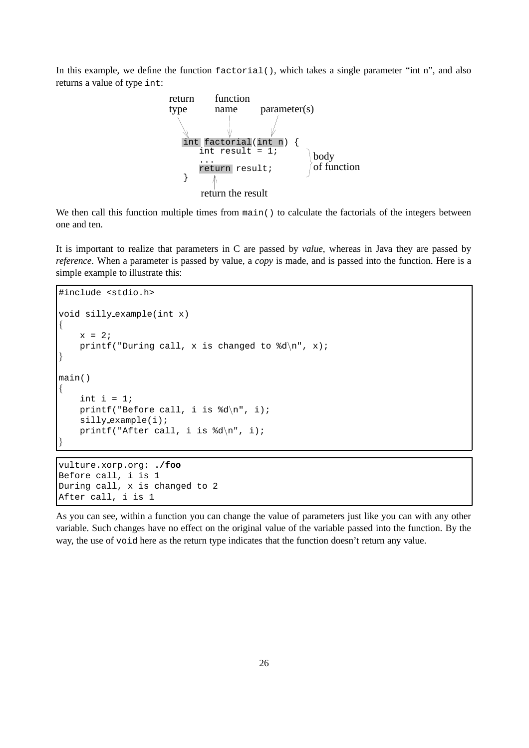In this example, we define the function factorial(), which takes a single parameter "int n", and also returns a value of type int:



We then call this function multiple times from  $\text{main}($ ) to calculate the factorials of the integers between one and ten.

It is important to realize that parameters in C are passed by *value*, whereas in Java they are passed by *reference*. When a parameter is passed by value, a *copy* is made, and is passed into the function. Here is a simple example to illustrate this:

```
#include <stdio.h>
void silly example(int x)
{
    x = 2;printf("During call, x is changed to d\n", x);
}
main()
{
    int i = 1;
    printf("Before call, i is d\n\cdot, i);
    silly example(i);
    printf("After call, i is d\n\cdot, i);
}
```
vulture.xorp.org: **./foo** Before call, i is 1 During call, x is changed to 2 After call, i is 1

As you can see, within a function you can change the value of parameters just like you can with any other variable. Such changes have no effect on the original value of the variable passed into the function. By the way, the use of void here as the return type indicates that the function doesn't return any value.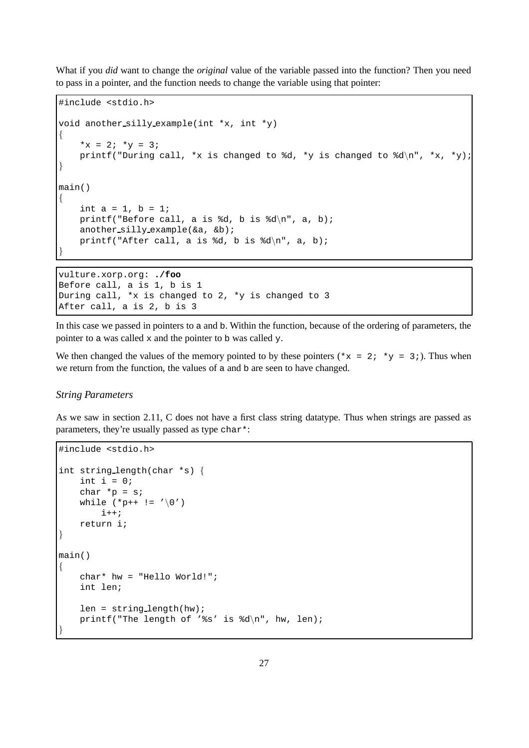What if you *did* want to change the *original* value of the variable passed into the function? Then you need to pass in a pointer, and the function needs to change the variable using that pointer:

```
#include <stdio.h>
void another silly example(int *x, int *y)
{
    *x = 2; *y = 3;
    printf("During call, *x is changed to %d, *y is changed to %d\n", *x, *y);
}
main()
{
    int a = 1, b = 1;
    printf("Before call, a is d, b is d \n\cdot a, a, b);
    another_silly_example(&a, &b);
    printf("After call, a is d, b is d \nvert n", a, b);
}
vulture.xorp.org: ./foo
```
Before call, a is 1, b is 1 During call, \*x is changed to 2, \*y is changed to 3 After call, a is 2, b is 3

In this case we passed in pointers to a and b. Within the function, because of the ordering of parameters, the pointer to a was called x and the pointer to b was called y.

We then changed the values of the memory pointed to by these pointers ( $*x = 2; *y = 3;$ ). Thus when we return from the function, the values of a and b are seen to have changed.

#### *String Parameters*

As we saw in section 2.11, C does not have a first class string datatype. Thus when strings are passed as parameters, they're usually passed as type char\*:

```
#include <stdio.h>
int string length(char *s) {
    int i = 0;
    char *_{p} = s;
    while (*p++ != '\\0')i++;return i;
}
main()
{
    char* hw = "Hello World!";
    int len;
    len = string_length(hw);printf("The length of '%s' is d\n\cdot, hw, len);
}
```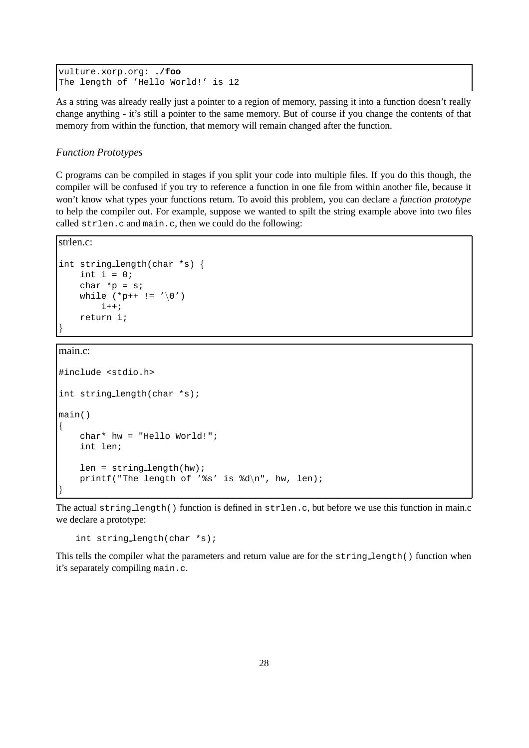```
vulture.xorp.org: ./foo
The length of 'Hello World!' is 12
```
As a string was already really just a pointer to a region of memory, passing it into a function doesn't really change anything - it's still a pointer to the same memory. But of course if you change the contents of that memory from within the function, that memory will remain changed after the function.

### *Function Prototypes*

C programs can be compiled in stages if you split your code into multiple files. If you do this though, the compiler will be confused if you try to reference a function in one file from within another file, because it won't know what types your functions return. To avoid this problem, you can declare a *function prototype* to help the compiler out. For example, suppose we wanted to spilt the string example above into two files called strlen.c and main.c, then we could do the following:

```
strlen.c:
```

```
int string length(char *s) {
   int i = 0;
   char *p = siwhile (*p++ != '\\0')i++;return i;
}
```
main.c:

```
#include <stdio.h>
int string length(char *s);
main()
{
    char* hw = "Hello World!";
    int len;
    len = string length(hw);
    printf("The length of '%s' is d\n", hw, len);
}
```
The actual string length() function is defined in strlen.c, but before we use this function in main.c we declare a prototype:

int string length(char \*s);

This tells the compiler what the parameters and return value are for the string length() function when it's separately compiling main.c.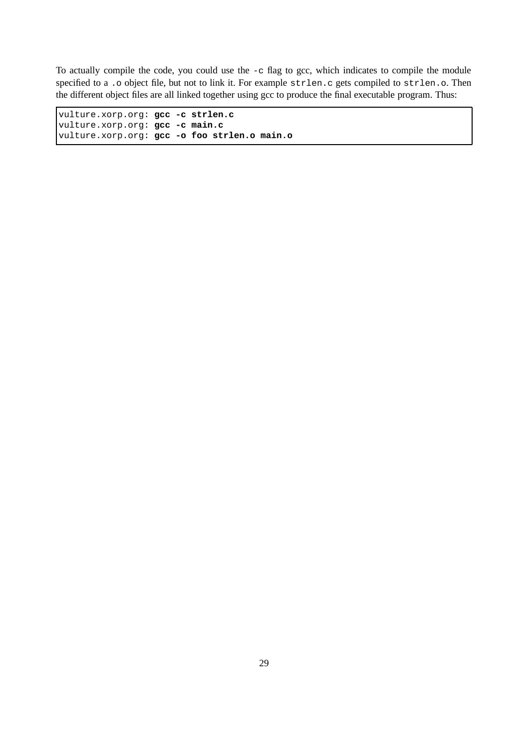To actually compile the code, you could use the -c flag to gcc, which indicates to compile the module specified to a .o object file, but not to link it. For example strlen.c gets compiled to strlen.o. Then the different object files are all linked together using gcc to produce the final executable program. Thus:

vulture.xorp.org: **gcc -c strlen.c** vulture.xorp.org: **gcc -c main.c** vulture.xorp.org: **gcc -o foo strlen.o main.o**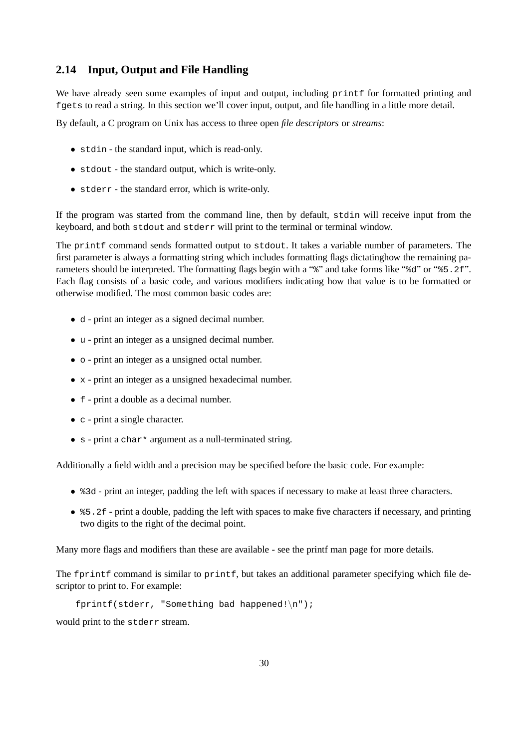### **2.14 Input, Output and File Handling**

We have already seen some examples of input and output, including printf for formatted printing and fgets to read a string. In this section we'll cover input, output, and file handling in a little more detail.

By default, a C program on Unix has access to three open *file descriptors* or *streams*:

- stdin the standard input, which is read-only.
- stdout the standard output, which is write-only.
- stderr the standard error, which is write-only.

If the program was started from the command line, then by default, stdin will receive input from the keyboard, and both stdout and stderr will print to the terminal or terminal window.

The printf command sends formatted output to stdout. It takes a variable number of parameters. The first parameter is always a formatting string which includes formatting flags dictatinghow the remaining parameters should be interpreted. The formatting flags begin with a "%" and take forms like "%d" or "%5.2f". Each flag consists of a basic code, and various modifiers indicating how that value is to be formatted or otherwise modified. The most common basic codes are:

- <sup>d</sup> print an integer as a signed decimal number.
- <sup>u</sup> print an integer as a unsigned decimal number.
- $\circ$  print an integer as a unsigned octal number.
- x print an integer as a unsigned hexadecimal number.
- <sup>f</sup> print a double as a decimal number.
- c print a single character.
- s print a char<sup>\*</sup> argument as a null-terminated string.

Additionally a field width and a precision may be specified before the basic code. For example:

- $\text{\$3d}$  print an integer, padding the left with spaces if necessary to make at least three characters.
- $\text{\$5.2f$}$  print a double, padding the left with spaces to make five characters if necessary, and printing two digits to the right of the decimal point.

Many more flags and modifiers than these are available - see the printf man page for more details.

The fprintf command is similar to printf, but takes an additional parameter specifying which file descriptor to print to. For example:

fprintf(stderr, "Something bad happened! $\ln$ ");

would print to the stderr stream.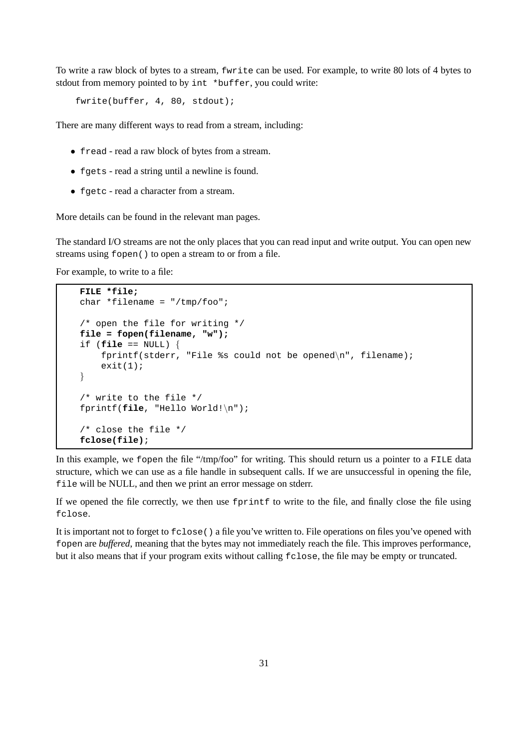To write a raw block of bytes to a stream, fwrite can be used. For example, to write 80 lots of 4 bytes to stdout from memory pointed to by int \*buffer, you could write:

fwrite(buffer, 4, 80, stdout);

There are many different ways to read from a stream, including:

- fread read a raw block of bytes from a stream.
- fgets read a string until a newline is found.
- fgetc read a character from a stream.

More details can be found in the relevant man pages.

The standard I/O streams are not the only places that you can read input and write output. You can open new streams using fopen() to open a stream to or from a file.

For example, to write to a file:

```
FILE *file;
char *filename = "/tmp/foo";
/* open the file for writing */
file = fopen(filename, "w");
if (file == NULL) {
    fprintf(stderr, "File %s could not be opened\n", filename);
    exit(1);}
/* write to the file */
fprintf(file, "Hello World!\n");
/* close the file */
fclose(file);
```
In this example, we fopen the file "/tmp/foo" for writing. This should return us a pointer to a FILE data structure, which we can use as a file handle in subsequent calls. If we are unsuccessful in opening the file, file will be NULL, and then we print an error message on stderr.

If we opened the file correctly, we then use fprintf to write to the file, and finally close the file using fclose.

It is important not to forget to fclose() a file you've written to. File operations on files you've opened with fopen are *buffered*, meaning that the bytes may not immediately reach the file. This improves performance, but it also means that if your program exits without calling fclose, the file may be empty or truncated.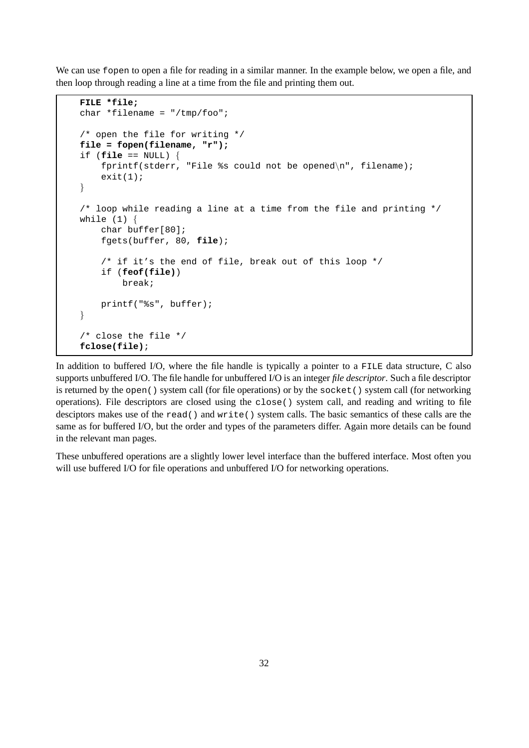We can use fopen to open a file for reading in a similar manner. In the example below, we open a file, and then loop through reading a line at a time from the file and printing them out.

```
FILE *file;
char *filename = "/tmp/foo";
/* open the file for writing */
file = fopen(filename, "r");
if (file == NULL) {
    fprintf(stderr, "File %s could not be opened\n", filename);
    exit(1);}
/* loop while reading a line at a time from the file and printing */
while (1) {
    char buffer[80];
    fgets(buffer, 80, file);
    /* if it's the end of file, break out of this loop */
    if (feof(file))
        break;
    printf("%s", buffer);
}
/* close the file */
fclose(file);
```
In addition to buffered I/O, where the file handle is typically a pointer to a FILE data structure, C also supports unbuffered I/O. The file handle for unbuffered I/O is an integer *file descriptor*. Such a file descriptor is returned by the open() system call (for file operations) or by the socket() system call (for networking operations). File descriptors are closed using the close() system call, and reading and writing to file desciptors makes use of the read() and write() system calls. The basic semantics of these calls are the same as for buffered I/O, but the order and types of the parameters differ. Again more details can be found in the relevant man pages.

These unbuffered operations are a slightly lower level interface than the buffered interface. Most often you will use buffered I/O for file operations and unbuffered I/O for networking operations.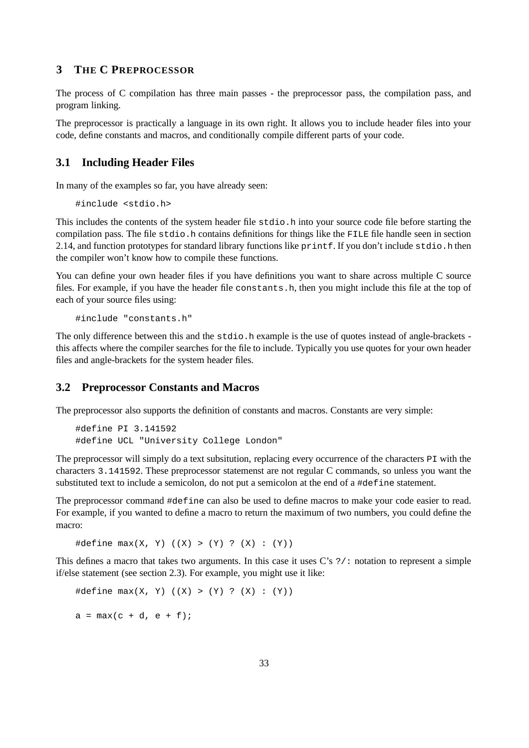# **3 THE C PREPROCESSOR**

The process of C compilation has three main passes - the preprocessor pass, the compilation pass, and program linking.

The preprocessor is practically a language in its own right. It allows you to include header files into your code, define constants and macros, and conditionally compile different parts of your code.

# **3.1 Including Header Files**

In many of the examples so far, you have already seen:

#include <stdio.h>

This includes the contents of the system header file stdio.h into your source code file before starting the compilation pass. The file stdio.h contains definitions for things like the FILE file handle seen in section 2.14, and function prototypes for standard library functions like printf. If you don't include stdio.h then the compiler won't know how to compile these functions.

You can define your own header files if you have definitions you want to share across multiple C source files. For example, if you have the header file constants.h, then you might include this file at the top of each of your source files using:

#include "constants.h"

The only difference between this and the stdio.h example is the use of quotes instead of angle-brackets this affects where the compiler searches for the file to include. Typically you use quotes for your own header files and angle-brackets for the system header files.

#### **3.2 Preprocessor Constants and Macros**

The preprocessor also supports the definition of constants and macros. Constants are very simple:

```
#define PI 3.141592
#define UCL "University College London"
```
The preprocessor will simply do a text subsitution, replacing every occurrence of the characters PI with the characters 3.141592. These preprocessor statemenst are not regular C commands, so unless you want the substituted text to include a semicolon, do not put a semicolon at the end of a #define statement.

The preprocessor command #define can also be used to define macros to make your code easier to read. For example, if you wanted to define a macro to return the maximum of two numbers, you could define the macro:

#define  $max(X, Y)$   $((X) > (Y) ? (X) : (Y))$ 

This defines a macro that takes two arguments. In this case it uses  $C's$  ?/: notation to represent a simple if/else statement (see section 2.3). For example, you might use it like:

```
#define max(X, Y) ((X) > (Y) ? (X) : (Y))a = max(c + d, e + f);
```